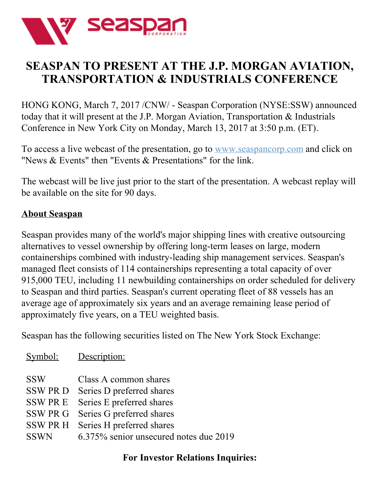

## **SEASPAN TO PRESENT AT THE J.P. MORGAN AVIATION, TRANSPORTATION & INDUSTRIALS CONFERENCE**

HONG KONG, March 7, 2017 /CNW/ - Seaspan Corporation (NYSE:SSW) announced today that it will present at the J.P. Morgan Aviation, Transportation & Industrials Conference in New York City on Monday, March 13, 2017 at 3:50 p.m. (ET).

To access a live webcast of the presentation, go to [www.seaspancorp.com](http://www.seaspancorp.com) and click on "News & Events" then "Events & Presentations" for the link.

The webcast will be live just prior to the start of the presentation. A webcast replay will be available on the site for 90 days.

## **About Seaspan**

Seaspan provides many of the world's major shipping lines with creative outsourcing alternatives to vessel ownership by offering long-term leases on large, modern containerships combined with industry-leading ship management services. Seaspan's managed fleet consists of 114 containerships representing a total capacity of over 915,000 TEU, including 11 newbuilding containerships on order scheduled for delivery to Seaspan and third parties. Seaspan's current operating fleet of 88 vessels has an average age of approximately six years and an average remaining lease period of approximately five years, on a TEU weighted basis.

Seaspan has the following securities listed on The New York Stock Exchange:

| Symbol:                      | Description:                                           |
|------------------------------|--------------------------------------------------------|
| <b>SSW</b><br><b>SSW PRD</b> | Class A common shares<br>Series D preferred shares     |
| <b>SSWPRE</b>                | Series E preferred shares                              |
| SSW PR G<br><b>SSW PR H</b>  | Series G preferred shares<br>Series H preferred shares |
| <b>SSWN</b>                  | 6.375% senior unsecured notes due 2019                 |

## **For Investor Relations Inquiries:**